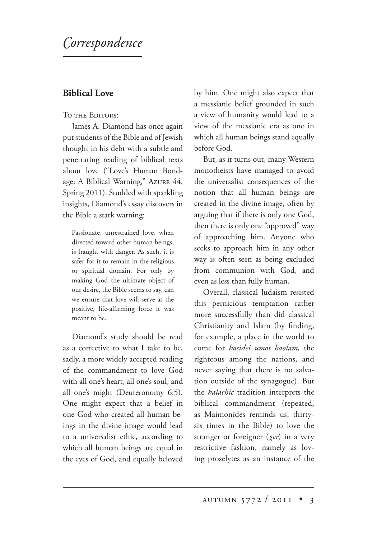# *orrespondence*

## **Biblical Love**

#### TO THE EDITORS:

James A. Diamond has once again put students of the Bible and of Jewish thought in his debt with a subtle and penetrating reading of biblical texts about love ("Love's Human Bondage: A Biblical Warning," Azure 44, Spring 2011). Studded with sparkling insights, Diamond's essay discovers in the Bible a stark warning:

Passionate, unrestrained love, when directed toward other human beings, is fraught with danger. As such, it is safer for it to remain in the religious or spiritual domain. For only by making God the ultimate object of our desire, the Bible seems to say, can we ensure that love will serve as the positive, life-affirming force it was meant to be.

Diamond's study should be read as a corrective to what I take to be, sadly, a more widely accepted reading of the commandment to love God with all one's heart, all one's soul, and all one's might (Deuteronomy 6:5). One might expect that a belief in one God who created all human beings in the divine image would lead to a universalist ethic, according to which all human beings are equal in the eyes of God, and equally beloved by him. One might also expect that a messianic belief grounded in such a view of humanity would lead to a view of the messianic era as one in which all human beings stand equally before God.

But, as it turns out, many Western monotheists have managed to avoid the universalist consequences of the notion that all human beings are created in the divine image, often by arguing that if there is only one God, then there is only one "approved" way of approaching him. Anyone who seeks to approach him in any other way is often seen as being excluded from communion with God, and even as less than fully human.

Overall, classical Judaism resisted this pernicious temptation rather more successfully than did classical Christianity and Islam (by finding, for example, a place in the world to come for *hasidei umot haolam,* the righteous among the nations, and never saying that there is no salvation outside of the synagogue). But the *halachic* tradition interprets the biblical commandment (repeated, as Maimonides reminds us, thirtysix times in the Bible) to love the stranger or foreigner (*ger*) in a very restrictive fashion, namely as loving proselytes as an instance of the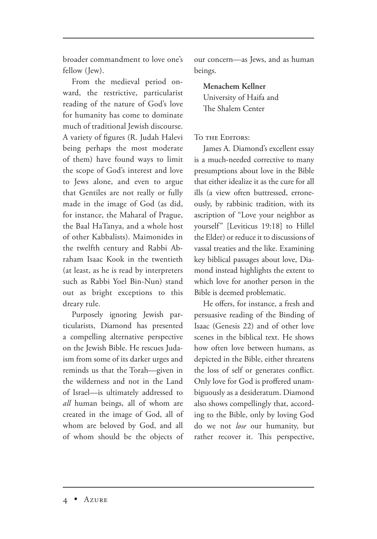broader commandment to love one's fellow (Iew).

From the medieval period onward, the restrictive, particularist reading of the nature of God's love for humanity has come to dominate much of traditional Jewish discourse. A variety of figures (R. Judah Halevi being perhaps the most moderate of them) have found ways to limit the scope of God's interest and love to Jews alone, and even to argue that Gentiles are not really or fully made in the image of God (as did, for instance, the Maharal of Prague, the Baal HaTanya, and a whole host of other Kabbalists). Maimonides in the twelfth century and Rabbi Abraham Isaac Kook in the twentieth (at least, as he is read by interpreters such as Rabbi Yoel Bin-Nun) stand out as bright exceptions to this dreary rule.

Purposely ignoring Jewish particularists, Diamond has presented a compelling alternative perspective on the Jewish Bible. He rescues Judaism from some of its darker urges and reminds us that the Torah—given in the wilderness and not in the Land of Israel—is ultimately addressed to *all* human beings, all of whom are created in the image of God, all of whom are beloved by God, and all of whom should be the objects of our concern—as Jews, and as human beings.

**Menachem Kellner** University of Haifa and The Shalem Center

#### TO THE EDITORS:

James A. Diamond's excellent essay is a much-needed corrective to many presumptions about love in the Bible that either idealize it as the cure for all ills (a view often buttressed, erroneously, by rabbinic tradition, with its ascription of "Love your neighbor as yourself" [Leviticus 19:18] to Hillel the Elder) or reduce it to discussions of vassal treaties and the like. Examining key biblical passages about love, Diamond instead highlights the extent to which love for another person in the Bible is deemed problematic.

He offers, for instance, a fresh and persuasive reading of the Binding of Isaac (Genesis 22) and of other love scenes in the biblical text. He shows how often love between humans, as depicted in the Bible, either threatens the loss of self or generates conflict. Only love for God is proffered unambiguously as a desideratum. Diamond also shows compellingly that, according to the Bible, only by loving God do we not *lose* our humanity, but rather recover it. This perspective,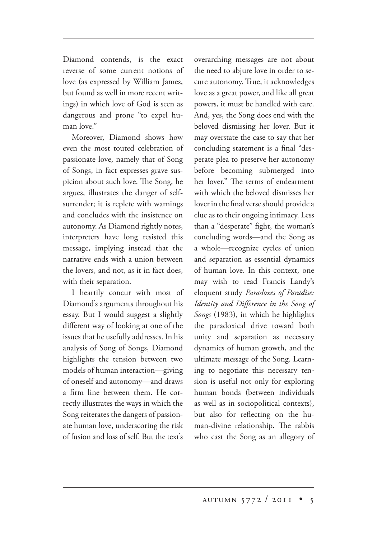Diamond contends, is the exact reverse of some current notions of love (as expressed by William James, but found as well in more recent writings) in which love of God is seen as dangerous and prone "to expel human love."

Moreover, Diamond shows how even the most touted celebration of passionate love, namely that of Song of Songs, in fact expresses grave suspicion about such love. The Song, he argues, illustrates the danger of selfsurrender; it is replete with warnings and concludes with the insistence on autonomy. As Diamond rightly notes, interpreters have long resisted this message, implying instead that the narrative ends with a union between the lovers, and not, as it in fact does, with their separation.

I heartily concur with most of Diamond's arguments throughout his essay. But I would suggest a slightly different way of looking at one of the issues that he usefully addresses. In his analysis of Song of Songs, Diamond highlights the tension between two models of human interaction—giving of oneself and autonomy—and draws a firm line between them. He correctly illustrates the ways in which the Song reiterates the dangers of passionate human love, underscoring the risk of fusion and loss of self. But the text's

overarching messages are not about the need to abjure love in order to secure autonomy. True, it acknowledges love as a great power, and like all great powers, it must be handled with care. And, yes, the Song does end with the beloved dismissing her lover. But it may overstate the case to say that her concluding statement is a final "desperate plea to preserve her autonomy before becoming submerged into her lover." The terms of endearment with which the beloved dismisses her lover in the final verse should provide a clue as to their ongoing intimacy. Less than a "desperate" fight, the woman's concluding words—and the Song as a whole—recognize cycles of union and separation as essential dynamics of human love. In this context, one may wish to read Francis Landy's eloquent study *Paradoxes of Paradise: Identity and Difference in the Song of Songs* (1983), in which he highlights the paradoxical drive toward both unity and separation as necessary dynamics of human growth, and the ultimate message of the Song. Learning to negotiate this necessary tension is useful not only for exploring human bonds (between individuals as well as in sociopolitical contexts), but also for reflecting on the human-divine relationship. The rabbis who cast the Song as an allegory of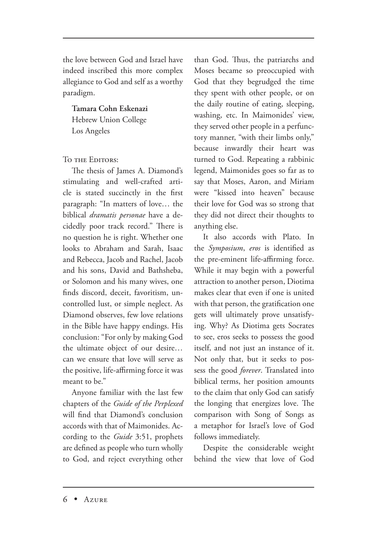the love between God and Israel have indeed inscribed this more complex allegiance to God and self as a worthy paradigm.

**Tamara Cohn Eskenazi**

Hebrew Union College Los Angeles

### TO THE EDITORS:

The thesis of James A. Diamond's stimulating and well-crafted article is stated succinctly in the first paragraph: "In matters of love… the biblical *dramatis personae* have a decidedly poor track record." There is no question he is right. Whether one looks to Abraham and Sarah, Isaac and Rebecca, Jacob and Rachel, Jacob and his sons, David and Bathsheba, or Solomon and his many wives, one finds discord, deceit, favoritism, uncontrolled lust, or simple neglect. As Diamond observes, few love relations in the Bible have happy endings. His conclusion: "For only by making God the ultimate object of our desire… can we ensure that love will serve as the positive, life-affirming force it was meant to be."

Anyone familiar with the last few chapters of the *Guide of the Perplexed* will find that Diamond's conclusion accords with that of Maimonides. According to the *Guide* 3:51, prophets are defined as people who turn wholly to God, and reject everything other than God. Thus, the patriarchs and Moses became so preoccupied with God that they begrudged the time they spent with other people, or on the daily routine of eating, sleeping, washing, etc. In Maimonides' view, they served other people in a perfunctory manner, "with their limbs only," because inwardly their heart was turned to God. Repeating a rabbinic legend, Maimonides goes so far as to say that Moses, Aaron, and Miriam were "kissed into heaven" because their love for God was so strong that they did not direct their thoughts to anything else.

It also accords with Plato. In the *Symposium*, *eros* is identified as the pre-eminent life-affirming force. While it may begin with a powerful attraction to another person, Diotima makes clear that even if one is united with that person, the gratification one gets will ultimately prove unsatisfying. Why? As Diotima gets Socrates to see, eros seeks to possess the good itself, and not just an instance of it. Not only that, but it seeks to possess the good *forever*. Translated into biblical terms, her position amounts to the claim that only God can satisfy the longing that energizes love. The comparison with Song of Songs as a metaphor for Israel's love of God follows immediately.

Despite the considerable weight behind the view that love of God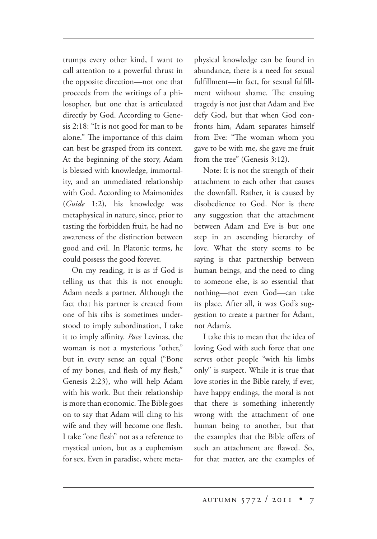trumps every other kind, I want to call attention to a powerful thrust in the opposite direction—not one that proceeds from the writings of a philosopher, but one that is articulated directly by God. According to Genesis 2:18: "It is not good for man to be alone." The importance of this claim can best be grasped from its context. At the beginning of the story, Adam is blessed with knowledge, immortality, and an unmediated relationship with God. According to Maimonides (*Guide* 1:2), his knowledge was metaphysical in nature, since, prior to tasting the forbidden fruit, he had no awareness of the distinction between good and evil. In Platonic terms, he could possess the good forever.

On my reading, it is as if God is telling us that this is not enough: Adam needs a partner. Although the fact that his partner is created from one of his ribs is sometimes understood to imply subordination, I take it to imply affinity. *Pace* Levinas, the woman is not a mysterious "other," but in every sense an equal ("Bone of my bones, and flesh of my flesh," Genesis 2:23), who will help Adam with his work. But their relationship is more than economic. The Bible goes on to say that Adam will cling to his wife and they will become one flesh. I take "one flesh" not as a reference to mystical union, but as a euphemism for sex. Even in paradise, where metaphysical knowledge can be found in abundance, there is a need for sexual fulfillment—in fact, for sexual fulfillment without shame. The ensuing tragedy is not just that Adam and Eve defy God, but that when God confronts him, Adam separates himself from Eve: "The woman whom you gave to be with me, she gave me fruit from the tree" (Genesis 3:12).

Note: It is not the strength of their attachment to each other that causes the downfall. Rather, it is caused by disobedience to God. Nor is there any suggestion that the attachment between Adam and Eve is but one step in an ascending hierarchy of love. What the story seems to be saying is that partnership between human beings, and the need to cling to someone else, is so essential that nothing—not even God—can take its place. After all, it was God's suggestion to create a partner for Adam, not Adam's.

I take this to mean that the idea of loving God with such force that one serves other people "with his limbs only" is suspect. While it is true that love stories in the Bible rarely, if ever, have happy endings, the moral is not that there is something inherently wrong with the attachment of one human being to another, but that the examples that the Bible offers of such an attachment are flawed. So, for that matter, are the examples of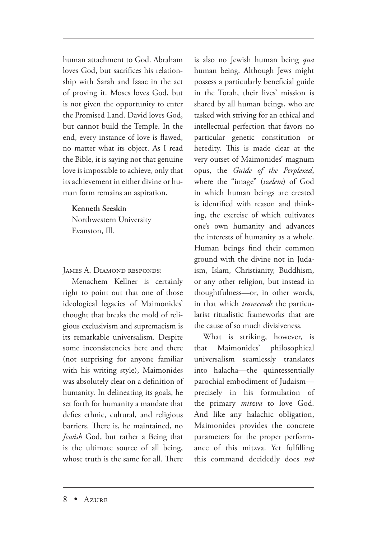human attachment to God. Abraham loves God, but sacrifices his relationship with Sarah and Isaac in the act of proving it. Moses loves God, but is not given the opportunity to enter the Promised Land. David loves God, but cannot build the Temple. In the end, every instance of love is flawed, no matter what its object. As I read the Bible, it is saying not that genuine love is impossible to achieve, only that its achievement in either divine or human form remains an aspiration.

#### **Kenneth Seeskin**

Northwestern University Evanston, Ill.

JAMES A. DIAMOND RESPONDS:

Menachem Kellner is certainly right to point out that one of those ideological legacies of Maimonides' thought that breaks the mold of religious exclusivism and supremacism is its remarkable universalism. Despite some inconsistencies here and there (not surprising for anyone familiar with his writing style), Maimonides was absolutely clear on a definition of humanity. In delineating its goals, he set forth for humanity a mandate that defies ethnic, cultural, and religious barriers. There is, he maintained, no *Jewish* God, but rather a Being that is the ultimate source of all being, whose truth is the same for all. There

is also no Jewish human being *qua*  human being. Although Jews might possess a particularly beneficial guide in the Torah, their lives' mission is shared by all human beings, who are tasked with striving for an ethical and intellectual perfection that favors no particular genetic constitution or heredity. This is made clear at the very outset of Maimonides' magnum opus, the *Guide of the Perplexed*, where the "image" (*tzelem*) of God in which human beings are created is identified with reason and thinking, the exercise of which cultivates one's own humanity and advances the interests of humanity as a whole. Human beings find their common ground with the divine not in Judaism, Islam, Christianity, Buddhism, or any other religion, but instead in thoughtfulness—or, in other words, in that which *transcends* the particularist ritualistic frameworks that are the cause of so much divisiveness.

What is striking, however, is that Maimonides' philosophical universalism seamlessly translates into halacha—the quintessentially parochial embodiment of Judaism precisely in his formulation of the primary *mitzva* to love God. And like any halachic obligation, Maimonides provides the concrete parameters for the proper performance of this mitzva. Yet fulfilling this command decidedly does *not*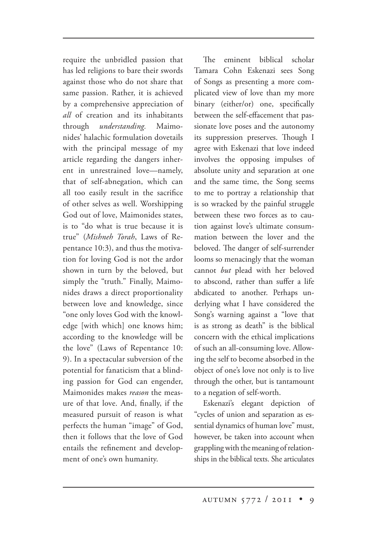require the unbridled passion that has led religions to bare their swords against those who do not share that same passion. Rather, it is achieved by a comprehensive appreciation of *all* of creation and its inhabitants through *understanding.* Maimonides' halachic formulation dovetails with the principal message of my article regarding the dangers inherent in unrestrained love—namely, that of self-abnegation, which can all too easily result in the sacrifice of other selves as well. Worshipping God out of love, Maimonides states, is to "do what is true because it is true" (*Mishneh Torah*, Laws of Repentance 10:3), and thus the motivation for loving God is not the ardor shown in turn by the beloved, but simply the "truth." Finally, Maimonides draws a direct proportionality between love and knowledge, since "one only loves God with the knowledge [with which] one knows him; according to the knowledge will be the love" (Laws of Repentance 10: 9). In a spectacular subversion of the potential for fanaticism that a blinding passion for God can engender, Maimonides makes *reason* the measure of that love. And, finally, if the measured pursuit of reason is what perfects the human "image" of God, then it follows that the love of God entails the refinement and development of one's own humanity.

The eminent biblical scholar Tamara Cohn Eskenazi sees Song of Songs as presenting a more complicated view of love than my more binary (either/or) one, specifically between the self-effacement that passionate love poses and the autonomy its suppression preserves. Though I agree with Eskenazi that love indeed involves the opposing impulses of absolute unity and separation at one and the same time, the Song seems to me to portray a relationship that is so wracked by the painful struggle between these two forces as to caution against love's ultimate consummation between the lover and the beloved. The danger of self-surrender looms so menacingly that the woman cannot *but* plead with her beloved to abscond, rather than suffer a life abdicated to another. Perhaps underlying what I have considered the Song's warning against a "love that is as strong as death" is the biblical concern with the ethical implications of such an all-consuming love. Allowing the self to become absorbed in the object of one's love not only is to live through the other, but is tantamount to a negation of self-worth.

Eskenazi's elegant depiction of "cycles of union and separation as essential dynamics of human love" must, however, be taken into account when grappling with the meaning of relationships in the biblical texts. She articulates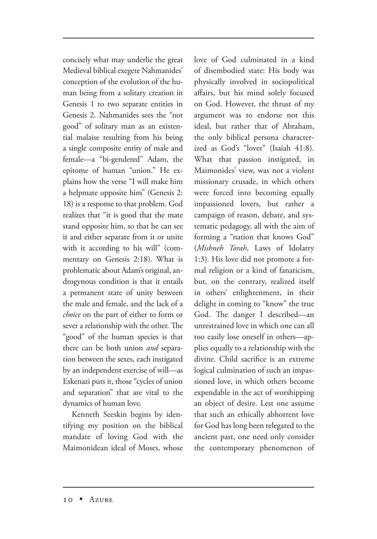concisely what may underlie the great Medieval biblical exegete Nahmanides' conception of the evolution of the human being from a solitary creation in Genesis 1 to two separate entities in Genesis 2. Nahmanides sees the "not good" of solitary man as an existential malaise resulting from his being a single composite entity of male and female—a "bi-gendered" Adam, the epitome of human "union." He explains how the verse "I will make him a helpmate opposite him" (Genesis 2: 18) is a response to that problem. God realizes that "it is good that the mate stand opposite him, so that he can see it and either separate from it or unite with it according to his will" (commentary on Genesis 2:18). What is problematic about Adam's original, androgynous condition is that it entails a permanent state of unity between the male and female, and the lack of a *choice* on the part of either to form or sever a relationship with the other. The "good" of the human species is that there can be both union *and* separation between the sexes, each instigated by an independent exercise of will—as Eskenazi puts it, those "cycles of union and separation" that are vital to the dynamics of human love.

Kenneth Seeskin begins by identifying my position on the biblical mandate of loving God with the Maimonidean ideal of Moses, whose love of God culminated in a kind of disembodied state: His body was physically involved in sociopolitical affairs, but his mind solely focused on God. However, the thrust of my argument was to endorse not this ideal, but rather that of Abraham, the only biblical persona characterized as God's "lover" (Isaiah 41:8). What that passion instigated, in Maimonides' view, was not a violent missionary crusade, in which others were forced into becoming equally impassioned lovers, but rather a campaign of reason, debate, and systematic pedagogy, all with the aim of forming a "nation that knows God" (*Mishneh Torah*, Laws of Idolatry 1:3). His love did not promote a formal religion or a kind of fanaticism, but, on the contrary, realized itself in others' enlightenment, in their delight in coming to "know" the true God. The danger I described—an unrestrained love in which one can all too easily lose oneself in others—applies equally to a relationship with the divine. Child sacrifice is an extreme logical culmination of such an impassioned love, in which others become expendable in the act of worshipping an object of desire. Lest one assume that such an ethically abhorrent love for God has long been relegated to the ancient past, one need only consider the contemporary phenomenon of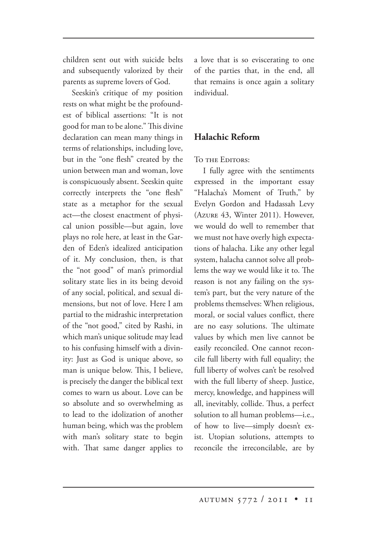children sent out with suicide belts and subsequently valorized by their parents as supreme lovers of God.

Seeskin's critique of my position rests on what might be the profoundest of biblical assertions: "It is not good for man to be alone." This divine declaration can mean many things in terms of relationships, including love, but in the "one flesh" created by the union between man and woman, love is conspicuously absent. Seeskin quite correctly interprets the "one flesh" state as a metaphor for the sexual act—the closest enactment of physical union possible—but again, love plays no role here, at least in the Garden of Eden's idealized anticipation of it. My conclusion, then, is that the "not good" of man's primordial solitary state lies in its being devoid of any social, political, and sexual dimensions, but not of love. Here I am partial to the midrashic interpretation of the "not good," cited by Rashi, in which man's unique solitude may lead to his confusing himself with a divinity: Just as God is unique above, so man is unique below. This, I believe, is precisely the danger the biblical text comes to warn us about. Love can be so absolute and so overwhelming as to lead to the idolization of another human being, which was the problem with man's solitary state to begin with. That same danger applies to a love that is so eviscerating to one of the parties that, in the end, all that remains is once again a solitary individual.

# **Halachic Reform**

#### TO THE EDITORS:

I fully agree with the sentiments expressed in the important essay "Halacha's Moment of Truth," by Evelyn Gordon and Hadassah Levy  $(A \text{ZURE } 43, \text{ Winter } 2011)$ . However, we would do well to remember that we must not have overly high expectations of halacha. Like any other legal system, halacha cannot solve all problems the way we would like it to. The reason is not any failing on the system's part, but the very nature of the problems themselves: When religious, moral, or social values conflict, there are no easy solutions. The ultimate values by which men live cannot be easily reconciled. One cannot reconcile full liberty with full equality; the full liberty of wolves can't be resolved with the full liberty of sheep. Justice, mercy, knowledge, and happiness will all, inevitably, collide. Thus, a perfect solution to all human problems—i.e., of how to live—simply doesn't exist. Utopian solutions, attempts to reconcile the irreconcilable, are by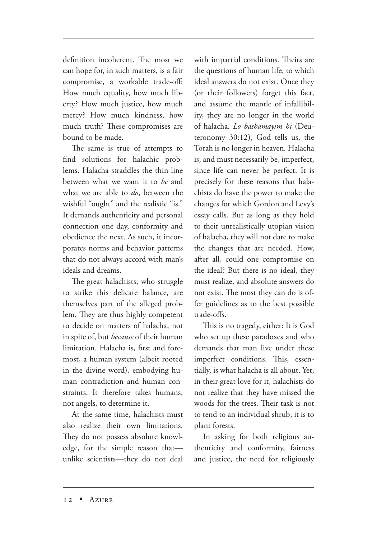definition incoherent. The most we can hope for, in such matters, is a fair compromise, a workable trade-off: How much equality, how much liberty? How much justice, how much mercy? How much kindness, how much truth? These compromises are bound to be made.

The same is true of attempts to find solutions for halachic problems. Halacha straddles the thin line between what we want it to *be* and what we are able to *do*, between the wishful "ought" and the realistic "is." It demands authenticity and personal connection one day, conformity and obedience the next. As such, it incorporates norms and behavior patterns that do not always accord with man's ideals and dreams.

The great halachists, who struggle to strike this delicate balance, are themselves part of the alleged problem. They are thus highly competent to decide on matters of halacha, not in spite of, but *because* of their human limitation. Halacha is, first and foremost, a human system (albeit rooted in the divine word), embodying human contradiction and human constraints. It therefore takes humans, not angels, to determine it.

At the same time, halachists must also realize their own limitations. They do not possess absolute knowledge, for the simple reason that unlike scientists—they do not deal

with impartial conditions. Theirs are the questions of human life, to which ideal answers do not exist. Once they (or their followers) forget this fact, and assume the mantle of infallibility, they are no longer in the world of halacha. *Lo bashamayim hi* (Deuteronomy 30:12), God tells us, the Torah is no longer in heaven*.* Halacha is, and must necessarily be, imperfect, since life can never be perfect. It is precisely for these reasons that halachists do have the power to make the changes for which Gordon and Levy's essay calls. But as long as they hold to their unrealistically utopian vision of halacha, they will not dare to make the changes that are needed. How, after all, could one compromise on the ideal? But there is no ideal, they must realize, and absolute answers do not exist. The most they can do is offer guidelines as to the best possible trade-offs.

This is no tragedy, either: It is God who set up these paradoxes and who demands that man live under these imperfect conditions. This, essentially, is what halacha is all about. Yet, in their great love for it, halachists do not realize that they have missed the woods for the trees. Their task is not to tend to an individual shrub; it is to plant forests.

In asking for both religious authenticity and conformity, fairness and justice, the need for religiously